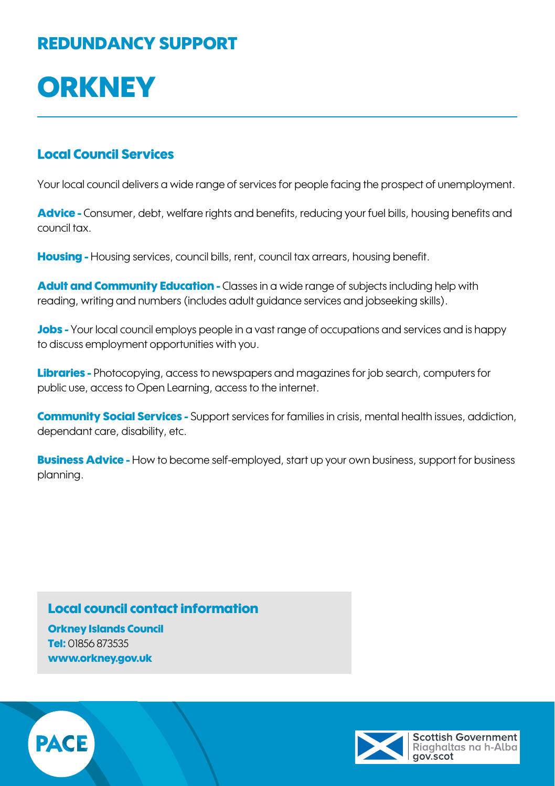## REDUNDANCY SUPPORT

# **ORKNEY**

### Local Council Services

Your local council delivers a wide range of services for people facing the prospect of unemployment.

Advice - Consumer, debt, welfare rights and benefits, reducing your fuel bills, housing benefits and council tax.

Housing - Housing services, council bills, rent, council tax arrears, housing benefit.

Adult and Community Education - Classes in a wide range of subjects including help with reading, writing and numbers (includes adult guidance services and jobseeking skills).

Jobs - Your local council employs people in a vast range of occupations and services and is happy to discuss employment opportunities with you.

Libraries - Photocopying, access to newspapers and magazines for job search, computers for public use, access to Open Learning, access to the internet.

**Community Social Services -** Support services for families in crisis, mental health issues, addiction. dependant care, disability, etc.

**Business Advice -** How to become self-employed, start up your own business, support for business planning.

### Local council contact information

Orkney Islands Council Tel: 01856 873535 [www.orkney.gov.uk](http://www.orkney.gov.uk)